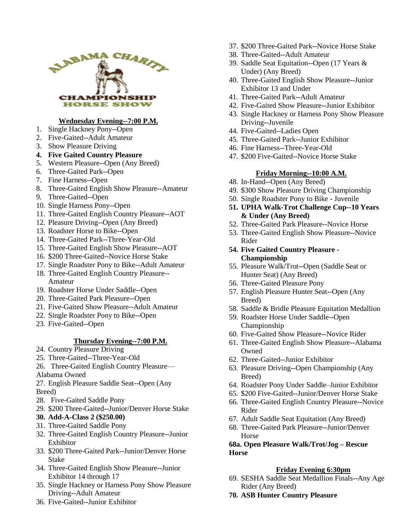

## **Wednesday Evening--7:00 P.M.**

- 1. Single Hackney Pony--Open
- 2. Five-Gaited--Adult Amateur
- 3. Show Pleasure Driving
- **4. Five Gaited Country Pleasure**
- 5. Western Pleasure--Open (Any Breed)
- 6. Three-Gaited Park--Open
- 7. Fine Harness--Open
- 8. Three-Gaited English Show Pleasure--Amateur
- 9. Three-Gaited--Open
- 10. Single Harness Pony--Open
- 11. Three-Gaited English Country Pleasure--AOT
- 12. Pleasure Driving--Open (Any Breed)
- 13. Roadster Horse to Bike--Open
- 14. Three-Gaited Park--Three-Year-Old
- 15. Three-Gaited English Show Pleasure--AOT
- 16. \$200 Three-Gaited--Novice Horse Stake
- 17. Single Roadster Pony to Bike--Adult Amateur
- 18. Three-Gaited English Country Pleasure-- Amateur
- 19. Roadster Horse Under Saddle--Open
- 20. Three-Gaited Park Pleasure--Open
- 21. Five-Gaited Show Pleasure--Adult Amateur
- 22. Single Roadster Pony to Bike--Open
- 23. Five-Gaited--Open

# **Thursday Evening--7:00 P.M.**

- 24. Country Pleasure Driving
- 25. Three-Gaited--Three-Year-Old
- 26. Three-Gaited English Country Pleasure—
- Alabama Owned
- 27. English Pleasure Saddle Seat--Open (Any Breed)
- 28. Five-Gaited Saddle Pony
- 29. \$200 Three-Gaited--Junior/Denver Horse Stake
- **30. Add-A-Class 2 (\$250.00)**
- 31. Three-Gaited Saddle Pony
- 32. Three-Gaited English Country Pleasure--Junior Exhibitor
- 33. \$200 Three-Gaited Park--Junior/Denver Horse Stake
- 34. Three-Gaited English Show Pleasure--Junior Exhibitor 14 through 17
- 35. Single Hackney or Harness Pony Show Pleasure Driving--Adult Amateur
- 36. Five-Gaited--Junior Exhibitor
- 37. \$200 Three-Gaited Park--Novice Horse Stake
- 38. Three-Gaited--Adult Amateur
- 39. Saddle Seat Equitation--Open (17 Years & Under) (Any Breed)
- 40. Three-Gaited English Show Pleasure--Junior Exhibitor 13 and Under
- 41. Three-Gaited Park--Adult Amateur
- 42. Five-Gaited Show Pleasure--Junior Exhibitor
- 43. Single Hackney or Harness Pony Show Pleasure Driving--Juvenile
- 44. Five-Gaited--Ladies Open
- 45. Three-Gaited Park--Junior Exhibitor
- 46. Fine Harness--Three-Year-Old
- 47. \$200 Five-Gaited--Novice Horse Stake

### **Friday Morning--10:00 A.M.**

- 48. In-Hand--Open (Any Breed)
- 49. \$300 Show Pleasure Driving Championship
- 50. Single Roadster Pony to Bike Juvenile
- **51. UPHA Walk-Trot Challenge Cup--10 Years & Under (Any Breed)**
- 52. Three-Gaited Park Pleasure--Novice Horse
- 53. Three-Gaited English Show Pleasure--Novice Rider
- **54. Five Gaited Country Pleasure - Championship**
- 55. Pleasure Walk/Trot--Open (Saddle Seat or Hunter Seat) (Any Breed)
- 56. Three-Gaited Pleasure Pony
- 57. English Pleasure Hunter Seat--Open (Any Breed)
- 58. Saddle & Bridle Pleasure Equitation Medallion
- 59. Roadster Horse Under Saddle--Open Championship
- 60. Five-Gaited Show Pleasure--Novice Rider
- 61. Three-Gaited English Show Pleasure--Alabama **Owned**
- 62. Three-Gaited--Junior Exhibitor
- 63. Pleasure Driving--Open Championship (Any Breed)
- 64. Roadster Pony Under Saddle–Junior Exhibitor
- 65. \$200 Five-Gaited--Junior/Denver Horse Stake
- 66. Three-Gaited English Country Pleasure--Novice Rider
- 67. Adult Saddle Seat Equitation (Any Breed)
- 68. Three-Gaited Park Pleasure--Junior/Denver Horse

### **68a. Open Pleasure Walk/Trot/Jog – Rescue Horse**

### **Friday Evening 6:30pm**

- 69. SESHA Saddle Seat Medallion Finals--Any Age Rider (Any Breed)
- **70. ASB Hunter Country Pleasure**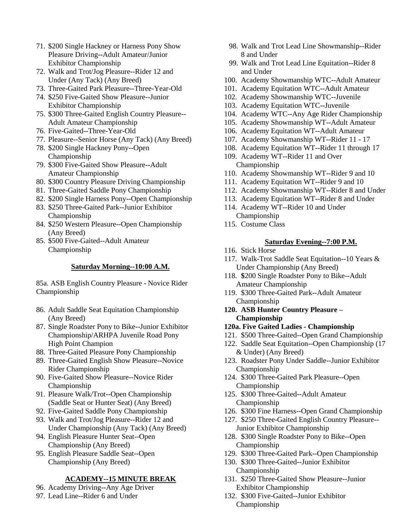- 71. \$200 Single Hackney or Harness Pony Show Pleasure Driving--Adult Amateur/Junior Exhibitor Championship
- 72. Walk and Trot/Jog Pleasure--Rider 12 and Under (Any Tack) (Any Breed)
- 73. Three-Gaited Park Pleasure--Three-Year-Old
- 74. \$250 Five-Gaited Show Pleasure--Junior Exhibitor Championship
- 75. \$300 Three-Gaited English Country Pleasure-- Adult Amateur Championship
- 76. Five-Gaited--Three-Year-Old
- 77. Pleasure--Senior Horse (Any Tack) (Any Breed)
- 78. \$200 Single Hackney Pony--Open Championship
- 79. \$300 Five-Gaited Show Pleasure--Adult Amateur Championship
- 80. \$300 Country Pleasure Driving Championship
- 81. Three-Gaited Saddle Pony Championship
- 82. \$200 Single Harness Pony--Open Championship
- 83. \$250 Three-Gaited Park--Junior Exhibitor Championship
- 84. \$250 Western Pleasure--Open Championship (Any Breed)
- 85. \$500 Five-Gaited--Adult Amateur Championship

#### **Saturday Morning--10:00 A.M.**

85a. ASB English Country Pleasure - Novice Rider Championship

- 86. Adult Saddle Seat Equitation Championship (Any Breed)
- 87. Single Roadster Pony to Bike--Junior Exhibitor Championship/ARHPA Juvenile Road Pony High Point Champion
- 88. Three-Gaited Pleasure Pony Championship
- 89. Three-Gaited English Show Pleasure--Novice Rider Championship
- 90. Five-Gaited Show Pleasure--Novice Rider Championship
- 91. Pleasure Walk/Trot--Open Championship (Saddle Seat or Hunter Seat) (Any Breed)
- 92. Five-Gaited Saddle Pony Championship
- 93. Walk and Trot/Jog Pleasure--Rider 12 and Under Championship (Any Tack) (Any Breed)
- 94. English Pleasure Hunter Seat--Open Championship (Any Breed)
- 95. English Pleasure Saddle Seat--Open Championship (Any Breed)

### **ACADEMY--15 MINUTE BREAK**

- 96. Academy Driving--Any Age Driver
- 97. Lead Line--Rider 6 and Under
- 98. Walk and Trot Lead Line Showmanship--Rider 8 and Under
- 99. Walk and Trot Lead Line Equitation--Rider 8 and Under
- 100. Academy Showmanship WTC--Adult Amateur
- 101. Academy Equitation WTC--Adult Amateur
- 102. Academy Showmanship WTC--Juvenile
- 103. Academy Equitation WTC--Juvenile
- 104. Academy WTC--Any Age Rider Championship
- 105. Academy Showmanship WT--Adult Amateur
- 106. Academy Equitation WT--Adult Amateur
- 107. Academy Showmanship WT--Rider 11 17
- 108. Academy Equitation WT--Rider 11 through 17
- 109. Academy WT--Rider 11 and Over Championship
- 110. Academy Showmanship WT--Rider 9 and 10
- 111. Academy Equitation WT--Rider 9 and 10
- 112. Academy Showmanship WT--Rider 8 and Under
- 113. Academy Equitation WT--Rider 8 and Under
- 114. Academy WT--Rider 10 and Under Championship
- 115. Costume Class

#### **Saturday Evening--7:00 P.M.**

- 116. Stick Horse
- 117. Walk-Trot Saddle Seat Equitation--10 Years & Under Championship (Any Breed)
- 118. **\$**200 Single Roadster Pony to Bike--Adult Amateur Championship
- 119. \$300 Three-Gaited Park--Adult Amateur Championship
- **120. ASB Hunter Country Pleasure – Championship**

### **120a. Five Gaited Ladies - Championship**

- 121. \$500 Three-Gaited--Open Grand Championship
- 122. Saddle Seat Equitation--Open Championship (17 & Under) (Any Breed)
- 123. Roadster Pony Under Saddle--Junior Exhibitor Championship
- 124. \$300 Three-Gaited Park Pleasure--Open Championship
- 125. \$300 Three-Gaited--Adult Amateur Championship
- 126. \$300 Fine Harness--Open Grand Championship
- 127. \$250 Three-Gaited English Country Pleasure-- Junior Exhibitor Championship
- 128. \$300 Single Roadster Pony to Bike--Open Championship
- 129. \$300 Three-Gaited Park--Open Championship
- 130. \$300 Three-Gaited--Junior Exhibitor Championship
- 131. \$250 Three-Gaited Show Pleasure--Junior Exhibitor Championship
- 132. \$300 Five-Gaited--Junior Exhibitor Championship